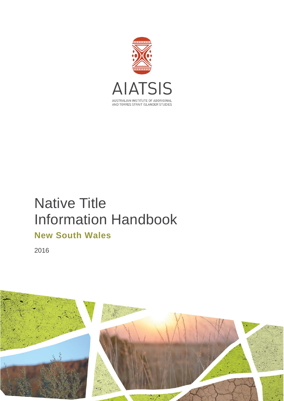

# Native Title Information Handbook **New South Wales**

2016

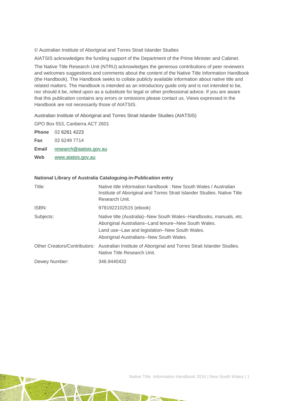© Australian Institute of Aboriginal and Torres Strait Islander Studies

AIATSIS acknowledges the funding support of the Department of the Prime Minister and Cabinet.

The Native Title Research Unit (NTRU) acknowledges the generous contributions of peer reviewers and welcomes suggestions and comments about the content of the Native Title Information Handbook (the Handbook). The Handbook seeks to collate publicly available information about native title and related matters. The Handbook is intended as an introductory guide only and is not intended to be, nor should it be, relied upon as a substitute for legal or other professional advice. If you are aware that this publication contains any errors or omissions please contact us. Views expressed in the Handbook are not necessarily those of AIATSIS.

Australian Institute of Aboriginal and Torres Strait Islander Studies (AIATSIS)

GPO Box 553, Canberra ACT 2601

**Phone** 02 6261 4223 **Fax** 02 6249 7714 **Email** [research@aiatsis.gov.au](mailto:research@aiatsis.gov.au) **Web** [www.aiatsis.gov.au](http://www.aiatsis.gov.au/) 

#### **National Library of Australia Cataloguing-in-Publication entry**

| Title:        | Native title information handbook: New South Wales / Australian<br>Institute of Aboriginal and Torres Strait Islander Studies. Native Title<br>Research Unit.                                                               |
|---------------|-----------------------------------------------------------------------------------------------------------------------------------------------------------------------------------------------------------------------------|
| ISBN:         | 9781922102515 (ebook)                                                                                                                                                                                                       |
| Subjects:     | Native title (Australia)--New South Wales--Handbooks, manuals, etc.<br>Aboriginal Australians--Land tenure--New South Wales.<br>Land use--Law and legislation--New South Wales.<br>Aboriginal Australians--New South Wales. |
|               | Other Creators/Contributors: Australian Institute of Aboriginal and Torres Strait Islander Studies.<br>Native Title Research Unit.                                                                                          |
| Dewey Number: | 346.9440432                                                                                                                                                                                                                 |

Native Title Information Handbook 2016 | New South Wales | 1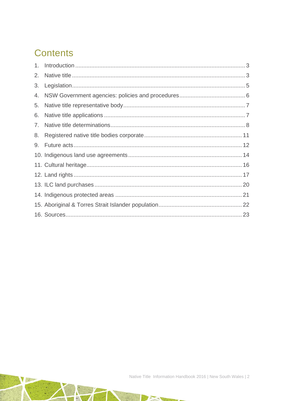# **Contents**

| 2. |  |
|----|--|
| 3. |  |
| 4. |  |
| 5. |  |
| 6. |  |
| 7. |  |
| 8. |  |
|    |  |
|    |  |
|    |  |
|    |  |
|    |  |
|    |  |
|    |  |
|    |  |

**ASSESS** 

 $\rightarrow$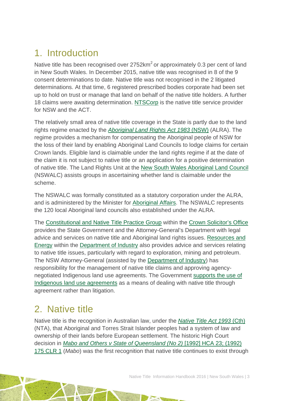# <span id="page-3-0"></span>1. Introduction

Native title has been recognised over  $2752 \text{km}^2$  or approximately 0.3 per cent of land in New South Wales. In December 2015, native title was recognised in 8 of the 9 consent determinations to date. Native title was not recognised in the 2 litigated determinations. At that time, 6 registered prescribed bodies corporate had been set up to hold on trust or manage that land on behalf of the native title holders. A further 18 claims were awaiting determination. [NTSCorp](http://www.ntscorp.com.au/) is the native title service provider for NSW and the ACT.

The relatively small area of native title coverage in the State is partly due to the land rights regime enacted by the *[Aboriginal Land Rights Act 1983](http://www.austlii.edu.au/au/legis/nsw/consol_act/alra1983201/)* (NSW) (ALRA). The regime provides a mechanism for compensating the Aboriginal people of NSW for the loss of their land by enabling Aboriginal Land Councils to lodge claims for certain Crown lands. Eligible land is claimable under the land rights regime if at the date of the claim it is not subject to native title or an application for a positive determination of native title. The Land Rights Unit at the [New South Wales Aboriginal Land Council](http://www.alc.org.au/home.aspx) (NSWALC) assists groups in ascertaining whether land is claimable under the scheme.

The NSWALC was formally constituted as a statutory corporation under the ALRA, and is administered by the Minister for [Aboriginal Affairs.](http://www.aboriginalaffairs.nsw.gov.au/) The NSWALC represents the 120 local Aboriginal land councils also established under the ALRA.

The [Constitutional and Native Title Practice Group](http://www.cso.nsw.gov.au/Pages/cso_ourexpertise/cso_constitutional_nativetitlelaw.aspx) within the [Crown Solicitor's Office](http://www.cso.nsw.gov.au/) provides the State Government and the Attorney-General's Department with legal advice and services on native title and Aboriginal land rights issues. [Resources and](http://www.resourcesandenergy.nsw.gov.au/)  [Energy](http://www.resourcesandenergy.nsw.gov.au/) within the [Department of Industry](http://www.industry.nsw.gov.au/) also provides advice and services relating to native title issues, particularly with regard to exploration, mining and petroleum. The NSW Attorney-General (assisted by the [Department of Industry\)](http://www.industry.nsw.gov.au/) has responsibility for the management of native title claims and approving agencynegotiated Indigenous land use agreements. The Government [supports the use of](http://arp.nsw.gov.au/m2011-18-native-title-and-indigenous-land-use-agreements)  [Indigenous land use agreements](http://arp.nsw.gov.au/m2011-18-native-title-and-indigenous-land-use-agreements) as a means of dealing with native title through agreement rather than litigation.

## <span id="page-3-1"></span>2. Native title

Native title is the recognition in Australian law, under the *[Native Title Act 1993](http://www.austlii.edu.au/au/legis/cth/consol_act/nta1993147/)* (Cth) (NTA), that Aboriginal and Torres Strait Islander peoples had a system of law and ownership of their lands before European settlement. The historic High Court decision in *[Mabo and Others v State of Queensland \(No 2\)](http://www.austlii.edu.au/au/cases/cth/HCA/1992/23.html)* [1992] HCA 23; (1992) 175 [CLR 1](http://www.austlii.edu.au/au/cases/cth/HCA/1992/23.html) (*Mabo*) was the first recognition that native title continues to exist through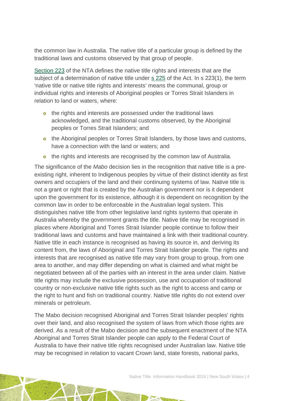the common law in Australia. The native title of a particular group is defined by the traditional laws and customs observed by that group of people.

[Section 223](http://www.austlii.edu.au/au/legis/cth/consol_act/nta1993147/s223.html) of the NTA defines the native title rights and interests that are the subject of a determination of native title under [s 225](http://www.austlii.edu.au/au/legis/cth/consol_act/nta1993147/s225.html) of the Act. In s 223(1), the term 'native title or native title rights and interests' means the communal, group or individual rights and interests of Aboriginal peoples or Torres Strait Islanders in relation to land or waters, where:

- o the rights and interests are possessed under the traditional laws acknowledged, and the traditional customs observed, by the Aboriginal peoples or Torres Strait Islanders; and
- o the Aboriginal peoples or Torres Strait Islanders, by those laws and customs, have a connection with the land or waters; and
- o the rights and interests are recognised by the common law of Australia.

The significance of the *Mabo* decision lies in the recognition that native title is a preexisting right, inherent to Indigenous peoples by virtue of their distinct identity as first owners and occupiers of the land and their continuing systems of law. Native title is not a grant or right that is created by the Australian government nor is it dependent upon the government for its existence, although it is dependent on recognition by the common law in order to be enforceable in the Australian legal system. This distinguishes native title from other legislative land rights systems that operate in Australia whereby the government grants the title. Native title may be recognised in places where Aboriginal and Torres Strait Islander people continue to follow their traditional laws and customs and have maintained a link with their traditional country. Native title in each instance is recognised as having its source in, and deriving its content from, the laws of Aboriginal and Torres Strait Islander people. The rights and interests that are recognised as native title may vary from group to group, from one area to another, and may differ depending on what is claimed and what might be negotiated between all of the parties with an interest in the area under claim. Native title rights may include the exclusive possession, use and occupation of traditional country or non-exclusive native title rights such as the right to access and camp or the right to hunt and fish on traditional country. Native title rights do not extend over minerals or petroleum.

The Mabo decision recognised Aboriginal and Torres Strait Islander peoples' rights over their land, and also recognised the system of laws from which those rights are derived. As a result of the Mabo decision and the subsequent enactment of the NTA Aboriginal and Torres Strait Islander people can apply to the Federal Court of Australia to have their native title rights recognised under Australian law. Native title may be recognised in relation to vacant Crown land, state forests, national parks,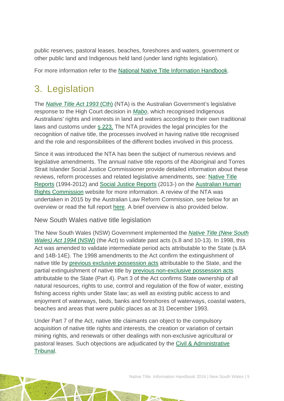public reserves, pastoral leases, beaches, foreshores and waters, government or other public land and Indigenous held land (under land rights legislation).

For more information refer to the [National Native Title Information Handbook.](http://aiatsis.gov.au/publications/products/native-title-information-handbooks)

# <span id="page-5-0"></span>3. Legislation

The *[Native Title Act 1993](http://www.austlii.edu.au/au/legis/cth/consol_act/nta1993147/)* (Cth) (NTA) is the Australian Government's legislative response to the High Court decision in *[Mabo](http://www.austlii.edu.au/au/cases/cth/HCA/1992/23.html)*, which recognised Indigenous Australians' rights and interests in land and waters according to their own traditional laws and customs under [s 223.](http://www.austlii.edu.au/au/legis/cth/consol_act/nta1993147/s223.html) The NTA provides the legal principles for the recognition of native title, the processes involved in having native title recognised and the role and responsibilities of the different bodies involved in this process.

Since it was introduced the NTA has been the subject of numerous reviews and legislative amendments. The annual native title reports of the Aboriginal and Torres Strait Islander Social Justice Commissioner provide detailed information about these reviews, reform processes and related legislative amendments, see: [Native Title](https://www.humanrights.gov.au/our-work/aboriginal-and-torres-strait-islander-social-justice/publications/native-title-reports)  [Reports](https://www.humanrights.gov.au/our-work/aboriginal-and-torres-strait-islander-social-justice/publications/native-title-reports) (1994-2012) and [Social Justice Reports](https://www.humanrights.gov.au/our-work/aboriginal-and-torres-strait-islander-social-justice/projects/social-justice-and-native) (2013-) on the [Australian Human](https://www.humanrights.gov.au/)  [Rights Commission](https://www.humanrights.gov.au/) website for more information. A review of the NTA was undertaken in 2015 by the Australian Law Reform Commission, see below for an overview or read the full report [here.](https://www.alrc.gov.au/publications/alrc126) A brief overview is also provided below.

### New South Wales native title legislation

The New South Wales (NSW) Government implemented the *[Native Title \(New South](http://www.austlii.edu.au/au/legis/nsw/consol_act/ntswa1994319/)  [Wales\) Act 1994](http://www.austlii.edu.au/au/legis/nsw/consol_act/ntswa1994319/)* (NSW) (the Act) to validate past acts (s.8 and 10-13). In 1998, this Act was amended to validate intermediate period acts attributable to the State (s.8A and 14B-14E). The 1998 amendments to the Act confirm the extinguishment of native title by [previous exclusive possession acts](http://www.nntt.gov.au/Pages/Glossary.aspx) attributable to the State, and the partial extinguishment of native title by [previous non-exclusive possession acts](http://www.nntt.gov.au/Pages/Glossary.aspx) attributable to the State (Part 4). Part 3 of the Act confirms State ownership of all natural resources, rights to use, control and regulation of the flow of water, existing fishing access rights under State law; as well as existing public access to and enjoyment of waterways, beds, banks and foreshores of waterways, coastal waters, beaches and areas that were public places as at 31 December 1993.

Under Part 7 of the Act, native title claimants can object to the compulsory acquisition of native title rights and interests, the creation or variation of certain mining rights, and renewals or other dealings with non-exclusive agricultural or pastoral leases. Such objections are adjudicated by the [Civil & Administrative](http://www.lawlink.nsw.gov.au/lawlink/adt/ll_adt.nsf/pages/adt_index)  [Tribunal.](http://www.lawlink.nsw.gov.au/lawlink/adt/ll_adt.nsf/pages/adt_index)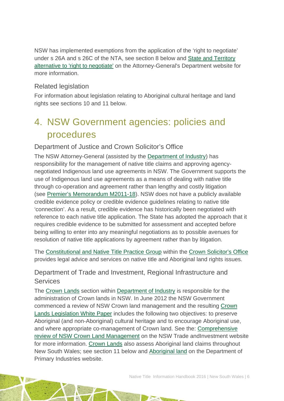NSW has implemented exemptions from the application of the 'right to negotiate' under s 26A and s 26C of the NTA, see section 8 below and [State and Territory](http://www.ag.gov.au/LegalSystem/NativeTitle/Pages/StateAndTerritoryAlternativeToRightToNegotiate.aspx)  [alternative to 'right to negotiate'](http://www.ag.gov.au/LegalSystem/NativeTitle/Pages/StateAndTerritoryAlternativeToRightToNegotiate.aspx) on the Attorney-General's Department website for more information.

### Related legislation

For information about legislation relating to Aboriginal cultural heritage and land rights see sections 10 and 11 below.

# <span id="page-6-0"></span>4. NSW Government agencies: policies and procedures

### Department of Justice and Crown Solicitor's Office

The NSW Attorney-General (assisted by the [Department of Industry\)](http://www.industry.nsw.gov.au/) has responsibility for the management of native title claims and approving agencynegotiated Indigenous land use agreements in NSW. The Government supports the use of Indigenous land use agreements as a means of dealing with native title through co-operation and agreement rather than lengthy and costly litigation (see [Premier's Memorandum M2011-18\)](http://arp.nsw.gov.au/m2011-18-native-title-and-indigenous-land-use-agreements). NSW does not have a publicly available credible evidence policy or credible evidence guidelines relating to native title 'connection'. As a result, credible evidence has historically been negotiated with reference to each native title application. The State has adopted the approach that it requires credible evidence to be submitted for assessment and accepted before being willing to enter into any meaningful negotiations as to possible avenues for resolution of native title applications by agreement rather than by litigation.

The [Constitutional and Native Title Practice Group](http://www.cso.nsw.gov.au/Pages/cso_ourexpertise/cso_constitutional_nativetitlelaw.aspx) within the [Crown Solicitor's Office](http://www.cso.nsw.gov.au/) provides legal advice and services on native title and Aboriginal land rights issues.

### Department of Trade and Investment, Regional Infrastructure and **Services**

The [Crown Lands](http://www.crownland.nsw.gov.au/) section within [Department of Industry](http://www.industry.nsw.gov.au/) is responsible for the administration of Crown lands in NSW. In June 2012 the NSW Government commenced a review of NSW Crown land management and the resulting [Crown](http://www.lpma.nsw.gov.au/__data/assets/pdf_file/0009/196434/Crown_Lands_White_paper_accessible.pdf)  [Lands Legislation White Paper](http://www.lpma.nsw.gov.au/__data/assets/pdf_file/0009/196434/Crown_Lands_White_paper_accessible.pdf) includes the following two objectives: to preserve Aboriginal (and non-Aboriginal) cultural heritage and to encourage Aboriginal use, and where appropriate co-management of Crown land. See the: [Comprehensive](http://www.lpma.nsw.gov.au/crown_lands/comprehensive_review_of_nsw_crown_land_management)  [review of NSW Crown Land Management](http://www.lpma.nsw.gov.au/crown_lands/comprehensive_review_of_nsw_crown_land_management) on the NSW Trade andInvestment website for more information. [Crown Lands](http://www.crownland.nsw.gov.au/) also assess Aboriginal land claims throughout New South Wales; see section 11 below and [Aboriginal land](http://www.lpma.nsw.gov.au/crown_lands/aboriginal_land) on the Department of Primary Industries website.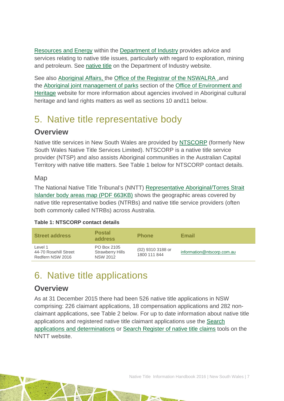[Resources and Energy](http://www.resourcesandenergy.nsw.gov.au/) within the [Department of Industry](http://www.industry.nsw.gov.au/) provides advice and services relating to native title issues, particularly with regard to exploration, mining and petroleum. See [native title](http://www.resourcesandenergy.nsw.gov.au/miners-and-explorers/applications-and-approvals/native_title) on the Department of Industry website.

See also [Aboriginal Affairs,](http://www.aboriginalaffairs.nsw.gov.au/) the [Office of the Registrar of the NSWALRA](http://www.oralra.nsw.gov.au/index.html) ,and the [Aboriginal joint management of parks](http://www.environment.nsw.gov.au/jointmanagement/index.htm) section of the Office [of Environment and](http://www.environment.nsw.gov.au/index.htm) [Heritage](http://www.environment.nsw.gov.au/index.htm) website for more information about agencies involved in Aboriginal cultural heritage and land rights matters as well as sections 10 and11 below.

## <span id="page-7-0"></span>5. Native title representative body

## **Overview**

Native title services in New South Wales are provided by [NTSCORP](http://www.ntscorp.com.au/) (formerly New South Wales Native Title Services Limited). NTSCORP is a native title service provider (NTSP) and also assists Aboriginal communities in the Australian Capital Territory with native title matters. See Table 1 below for NTSCORP contact details.

### Map

The National Native Title Tribunal's (NNTT) [Representative Aboriginal/Torres Strait](http://www.nntt.gov.au/Maps/RATSIB_map.pdf)  [Islander body areas map \(PDF 663KB\)](http://www.nntt.gov.au/Maps/RATSIB_map.pdf) shows the geographic areas covered by native title representative bodies (NTRBs) and native title service providers (often both commonly called NTRBs) across Australia.

### **Table 1: NTSCORP contact details**

| <b>Street address</b>                                | <b>Postal</b><br>address                                  | <b>Phone</b>                      | <b>Email</b>               |
|------------------------------------------------------|-----------------------------------------------------------|-----------------------------------|----------------------------|
| Level 1<br>44-70 Rosehill Street<br>Redfern NSW 2016 | PO Box 2105<br><b>Strawberry Hills</b><br><b>NSW 2012</b> | (02) 9310 3188 or<br>1800 111 844 | information@ntscorp.com.au |

## <span id="page-7-1"></span>6. Native title applications

## **Overview**

As at 31 December 2015 there had been 526 native title applications in NSW comprising: 226 claimant applications, 18 compensation applications and 282 nonclaimant applications, see Table 2 below. For up to date information about native title applications and registered native title claimant applications use the [Search](http://www.nntt.gov.au/searchRegApps/NativeTitleClaims/Pages/default.aspx)  [applications and determinations](http://www.nntt.gov.au/searchRegApps/NativeTitleClaims/Pages/default.aspx) or [Search Register of native title claims](http://www.nntt.gov.au/searchRegApps/NativeTitleRegisters/Pages/Search-Register-of-Native-Title-Claims.aspx) tools on the NNTT website.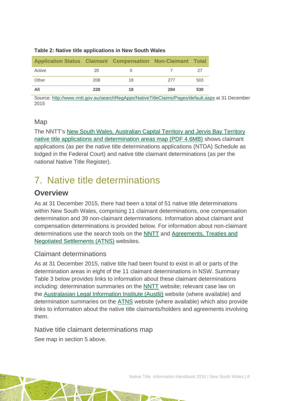#### **Table 2: Native title applications in New South Wales**

| Application Status Claimant Compensation Non-Claimant Total |     |    |     |     |
|-------------------------------------------------------------|-----|----|-----|-----|
| Active                                                      | 20  |    |     | 27  |
| Other                                                       | 208 | 18 | 277 | 503 |
| All                                                         | 228 | 18 | 284 | 530 |

Source: <http://www.nntt.gov.au/searchRegApps/NativeTitleClaims/Pages/default.aspx> at 31 December 2015

### Map

The NNTT's [New South Wales, Australian Capital Territory and Jervis Bay Territory](http://www.nntt.gov.au/Maps/NSW_ACT_JBT_NTDA_Schedule.pdf)  [native title applications and determination areas map \(PDF 4.6MB\)](http://www.nntt.gov.au/Maps/NSW_ACT_JBT_NTDA_Schedule.pdf) shows claimant applications (as per the native title determinations applications (NTDA) Schedule as lodged in the Federal Court) and native title claimant determinations (as per the national Native Title Register).

## <span id="page-8-0"></span>7. Native title determinations

### **Overview**

As at 31 December 2015, there had been a total of 51 native title determinations within New South Wales, comprising 11 claimant determinations, one compensation determination and 39 non-claimant determinations. Information about claimant and compensation determinations is provided below. For information about non-claimant determinations use the search tools on the [NNTT](http://www.nntt.gov.au/) and [Agreements, Treaties and](http://www.atns.net.au/)  [Negotiated Settlements \(ATNS\)](http://www.atns.net.au/) websites.

### Claimant determinations

As at 31 December 2015, native title had been found to exist in all or parts of the determination areas in eight of the 11 claimant determinations in NSW. Summary Table 3 below provides links to information about these claimant determinations including: determination summaries on the [NNTT](http://www.nntt.gov.au/) website; relevant case law on the [Australasian Legal Information Institute \(Austlii\)](http://www.austlii.edu.au/) website (where available) and determination summaries on the [ATNS](http://www.atns.net.au/) website (where available) which also provide links to information about the native title claimants/holders and agreements involving them.

Native title claimant determinations map See map in section 5 above.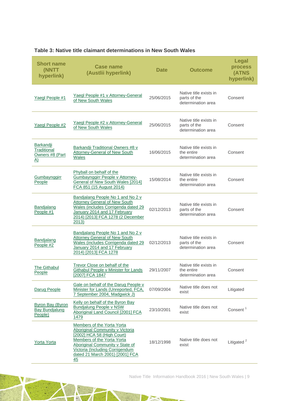| <b>Short name</b><br>(NNTT<br>hyperlink)                    | <b>Case name</b><br>(Austlii hyperlink)                                                                                                                                                                                                  | <b>Date</b> | <b>Outcome</b>                                               | <b>Legal</b><br>process<br>(ATNS<br>hyperlink) |
|-------------------------------------------------------------|------------------------------------------------------------------------------------------------------------------------------------------------------------------------------------------------------------------------------------------|-------------|--------------------------------------------------------------|------------------------------------------------|
| Yaegl People #1                                             | Yaegl People #1 v Attorney-General<br>of New South Wales                                                                                                                                                                                 | 25/06/2015  | Native title exists in<br>parts of the<br>determination area | Consent                                        |
| Yaegl People #2                                             | Yaegl People #2 v Attorney-General<br>of New South Wales                                                                                                                                                                                 | 25/06/2015  | Native title exists in<br>parts of the<br>determination area | Consent                                        |
| Barkandji<br>Traditional<br>Owners #8 (Part<br><u>A)</u>    | Barkandji Traditional Owners #8 v<br>Attorney-General of New South<br><b>Wales</b>                                                                                                                                                       | 16/06/2015  | Native title exists in<br>the entire<br>determination area   | Consent                                        |
| Gumbaynggirr<br>People                                      | Phyball on behalf of the<br>Gumbaynggirr People v Attorney-<br>General of New South Wales [2014]<br>FCA 851 (15 August 2014)                                                                                                             | 15/08/2014  | Native title exists in<br>the entire<br>determination area   | Consent                                        |
| Bandjalang<br>People #1                                     | Bandjalang People No 1 and No 2 v<br><b>Attorney General of New South</b><br>Wales (includes Corrigenda dated 29<br>January 2014 and 17 February<br>2014) [2013] FCA 1278 (2 December<br>2013)                                           | 02/12/2013  | Native title exists in<br>parts of the<br>determination area | Consent                                        |
| Bandjalang<br>People #2                                     | Bandjalang People No 1 and No 2 v<br><b>Attorney General of New South</b><br>Wales (includes Corrigenda dated 29<br>January 2014 and 17 February<br>2014) [2013] FCA 1278                                                                | 02/12/2013  | Native title exists in<br>parts of the<br>determination area | Consent                                        |
| <b>The Githabul</b><br>People                               | <b>Trevor Close on behalf of the</b><br><b>Githabul People v Minister for Lands</b><br>[2007] FCA 1847                                                                                                                                   | 29/11/2007  | Native title exists in<br>the entire<br>determination area   | Consent                                        |
| Darug People                                                | Gale on behalf of the Darug People v<br>Minister for Lands (Unreported, FCA,<br>7 September 2004, Madgwick J)                                                                                                                            | 07/09/2004  | Native title does not<br>exist                               | Litigated                                      |
| <b>Byron Bay (Byron</b><br><b>Bay Bundjalung</b><br>People) | Kelly on behalf of the Byron Bay<br><b>Bundjalung People v NSW</b><br>Aboriginal Land Council [2001] FCA<br>1479                                                                                                                         | 23/10/2001  | Native title does not<br>exist                               | Consent <sup>1</sup>                           |
| Yorta Yorta                                                 | Members of the Yorta Yorta<br>Aboriginal Community v Victoria<br>[2002] HCA 58 (High Court)<br>Members of the Yorta Yorta<br>Aboriginal Community v State of<br>Victoria (Including Corrigendum<br>dated 21 March 2001) [2001] FCA<br>45 | 18/12/1998  | Native title does not<br>exist                               | Litigated <sup>2</sup>                         |

N. Bart

#### **Table 3: Native title claimant determinations in New South Wales**

Native Title Information Handbook 2016 | New South Wales | 9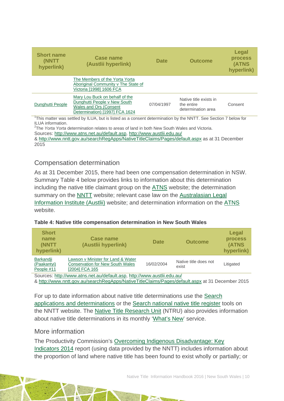| <b>Short name</b><br>(NNTT<br>hyperlink) | Case name<br>(Austlii hyperlink)                                                                                           | <b>Date</b> | <b>Outcome</b>                                             | Legal<br><b>process</b><br>(ATNS<br>hyperlink) |
|------------------------------------------|----------------------------------------------------------------------------------------------------------------------------|-------------|------------------------------------------------------------|------------------------------------------------|
|                                          | The Members of the Yorta Yorta<br>Aboriginal Community v The State of<br>Victoria [1998] 1606 FCA                          |             |                                                            |                                                |
| Dunghutti People                         | Mary Lou Buck on behalf of the<br>Dunghutti People v New South<br>Wales and Ors (Consent<br>Determination) [1997] FCA 1624 | 07/04/1997  | Native title exists in<br>the entire<br>determination area | Consent                                        |

<sup>1</sup>This matter was settled by ILUA, but is listed as a consent determination by the NNTT. See Section 7 below for

ILUA information. 2 The *Yorta Yorta* determination relates to areas of land in both New South Wales and Victoria.

Sources: [http://www.atns.net.au/default.asp,](http://www.atns.net.au/default.asp)<http://www.austlii.edu.au/>

& [http://www.nntt.gov.au/searchRegApps/NativeTitleClaims/Pages/default.aspx](http://www.nntt.gov.au/searchRegApps/NativeTitleClaims/Pages/default.aspx%20at%2011) as at 31 December 2015

### Compensation determination

As at 31 December 2015, there had been one compensation determination in NSW. Summary Table 4 below provides links to information about this determination including the native title claimant group on the [ATNS](http://www.atns.net.au/) website; the determination summary on the [NNTT](http://www.nntt.gov.au/) website; relevant case law on the [Australasian Legal](http://www.austlii.edu.au/)  [Information Institute \(Austlii\)](http://www.austlii.edu.au/) website; and determination information on the [ATNS](http://www.atns.net.au/default.asp) website.

| <b>Short</b><br>name<br>(NNTT<br>hyperlink) | Case name<br>(Austlii hyperlink)                                                                | <b>Date</b> | <b>Outcome</b>                 | Legal<br><b>process</b><br><b>(ATNS</b><br>hyperlink) |
|---------------------------------------------|-------------------------------------------------------------------------------------------------|-------------|--------------------------------|-------------------------------------------------------|
| Barkandji<br>(Paakantyi)<br>People #11      | Lawson y Minister for Land & Water<br><b>Conservation for New South Wales</b><br>[2004] FCA 165 | 16/02/2004  | Native title does not<br>exist | Litigated                                             |

#### **Table 4: Native title compensation determination in New South Wales**

Sources: [http://www.atns.net.au/default.asp,](http://www.atns.net.au/default.asp)<http://www.austlii.edu.au/> &<http://www.nntt.gov.au/searchRegApps/NativeTitleClaims/Pages/default.aspx> at 31 December 2015

For up to date information about native title determinations use the [Search](http://www.nntt.gov.au/searchRegApps/NativeTitleClaims/Pages/default.aspx)  [applications and determinations](http://www.nntt.gov.au/searchRegApps/NativeTitleClaims/Pages/default.aspx) or the [Search national native title register](http://www.nntt.gov.au/searchRegApps/NativeTitleRegisters/Pages/Search-National-Native-Title-Register.aspx) tools on the NNTT website. The [Native Title](http://aiatsis.gov.au/research/research-themes/native-title) Research Unit (NTRU) also provides information about native title determinations in its monthly ['What's New'](http://aiatsis.gov.au/research/research-themes/native-title/publications/whats-new) service.

### More information

The Productivity Commission's [Overcoming Indigenous Disadvantage: Key](http://www.pc.gov.au/research/recurring/overcoming-indigenous-disadvantage/key-indicators-2014)  [Indicators 2014](http://www.pc.gov.au/research/recurring/overcoming-indigenous-disadvantage/key-indicators-2014) report (using data provided by the NNTT) includes information about the proportion of land where native title has been found to exist wholly or partially; or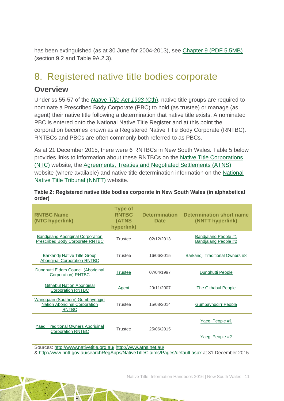has been extinguished (as at 30 June for 2004-2013), see [Chapter 9 \(PDF](http://www.pc.gov.au/research/recurring/overcoming-indigenous-disadvantage/key-indicators-2014/09-key-indicators-2014-chapter9.pdf) 5.5MB) (section 9.2 and Table 9A.2.3).

## <span id="page-11-0"></span>8. Registered native title bodies corporate

## **Overview**

Under ss 55-57 of the *[Native Title Act 1993](http://www.austlii.edu.au/au/legis/cth/consol_act/nta1993147/)* (Cth), native title groups are required to nominate a Prescribed Body Corporate (PBC) to hold (as trustee) or manage (as agent) their native title following a determination that native title exists. A nominated PBC is entered onto the National Native Title Register and at this point the corporation becomes known as a Registered Native Title Body Corporate (RNTBC). RNTBCs and PBCs are often commonly both referred to as PBCs.

As at 21 December 2015, there were 6 RNTBCs in New South Wales. Table 5 below provides links to information about these RNTBCs on the [Native Title Corporations](http://www.nativetitle.org.au/)  [\(NTC\)](http://www.nativetitle.org.au/) website, the [Agreements, Treaties and Negotiated Settlements \(ATNS\)](http://www.atns.net.au/) website (where available) and native title determination information on the [National](http://www.nntt.gov.au/)  [Native Title Tribunal \(NNTT\)](http://www.nntt.gov.au/) website.

| <b>RNTBC Name</b><br>(NTC hyperlink)                                                     | <b>Type of</b><br><b>RNTBC</b><br>(ATNS<br>hyperlink) | <b>Determination</b><br><b>Date</b> | <b>Determination short name</b><br>(NNTT hyperlink) |  |  |
|------------------------------------------------------------------------------------------|-------------------------------------------------------|-------------------------------------|-----------------------------------------------------|--|--|
| <b>Bandjalang Aboriginal Corporation</b><br><b>Prescribed Body Corporate RNTBC</b>       | Trustee                                               | 02/12/2013                          | Bandjalang People #1<br><b>Bandjalang People #2</b> |  |  |
| Barkandji Native Title Group<br><b>Aboriginal Corporation RNTBC</b>                      | Trustee                                               | 16/06/2015                          | Barkandji Traditional Owners #8                     |  |  |
| Dunghutti Elders Council (Aboriginal<br>Corporation) RNTBC                               | Trustee                                               | 07/04/1997                          | Dunghutti People                                    |  |  |
| <b>Githabul Nation Aboriginal</b><br><b>Corporation RNTBC</b>                            | Agent                                                 | 29/11/2007                          | <b>The Githabul People</b>                          |  |  |
| Wanggaan (Southern) Gumbaynggirr<br><b>Nation Aboriginal Corporation</b><br><b>RNTBC</b> | <b>Trustee</b>                                        | 15/08/2014                          | <b>Gumbaynggirr People</b>                          |  |  |
| <b>Yaegl Traditional Owners Aboriginal</b>                                               | Trustee                                               |                                     | Yaegl People #1                                     |  |  |
| <b>Corporation RNTBC</b>                                                                 | 25/06/2015                                            |                                     | Yaegl People #2                                     |  |  |
| Sources: http://www.nativetitle.org.au/ http://www.atns.net.au/                          |                                                       |                                     |                                                     |  |  |

**Table 2: Registered native title bodies corporate in New South Wales (in alphabetical order)**

&<http://www.nntt.gov.au/searchRegApps/NativeTitleClaims/Pages/default.aspx> at 31 December 2015

Native Title Information Handbook 2016 | New South Wales | 11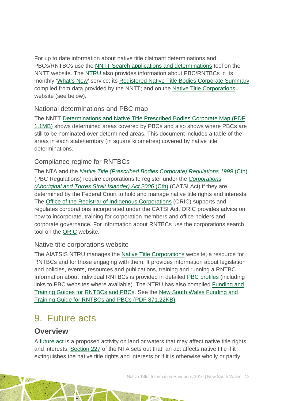For up to date information about native title claimant determinations and PBCs/RNTBCs use the [NNTT Search applications and determinations](http://www.nntt.gov.au/searchRegApps/NativeTitleClaims/Pages/default.aspx) tool on the NNTT website. The [NTRU](http://aiatsis.gov.au/research/research-themes/native-title) also provides information about PBC/RNTBCs in its monthly ['What's New'](http://aiatsis.gov.au/research/research-themes/native-title/publications/whats-new) service; its [Registered Native Title Bodies Corporate Summary](http://aiatsis.gov.au/publications/products/registered-native-title-bodies-corporate-prescribed-bodies-corporate-summary) compiled from data provided by the NNTT; and on the [Native Title Corporations](http://www.nativetitle.org.au/) website (see below).

### National determinations and PBC map

The NNTT [Determinations and Native Title Prescribed Bodies](http://www.nntt.gov.au/Maps/Determinations_and_PBCs_map.pdf) Corporate Map (PDF [1.1MB\)](http://www.nntt.gov.au/Maps/Determinations_and_PBCs_map.pdf) shows determined areas covered by PBCs and also shows where PBCs are still to be nominated over determined areas. This document includes a table of the areas in each state/territory (in square kilometres) covered by native title determinations.

### Compliance regime for RNTBCs

The NTA and the *[Native Title \(Prescribed Bodies Corporate\) Regulations 1999](http://www.austlii.edu.au/au/legis/cth/consol_reg/ntbcr1999495/)* (Cth) (PBC Regulations) require corporations to register under the *[Corporations](http://www5.austlii.edu.au/au/legis/cth/consol_act/catsia2006510/)  [\(Aboriginal and Torres Strait Islander\) Act 2006](http://www5.austlii.edu.au/au/legis/cth/consol_act/catsia2006510/)* (Cth) (CATSI Act) if they are determined by the Federal Court to hold and manage native title rights and interests. The [Office of the Registrar of Indigenous Corporations](http://www.oric.gov.au/) (ORIC) supports and regulates corporations incorporated under the CATSI Act. ORIC provides advice on how to incorporate, training for corporation members and office holders and corporate governance. For information about RNTBCs use the corporations search tool on the [ORIC](http://www.oric.gov.au/) website.

### Native title corporations website

The AIATSIS NTRU manages the [Native Title Corporations](http://www.nativetitle.org.au/) website, a resource for RNTBCs and for those engaging with them. It provides information about legislation and policies, events, resources and publications, training and running a RNTBC. Information about individual RNTBCs is provided in detailed [PBC profiles](http://www.nativetitle.org.au/profiles.html) (including links to PBC websites where available). The NTRU has also compiled [Funding and](http://nativetitle.org.au/toolkits.html)  [Training Guides for RNTBCs and PBCs.](http://nativetitle.org.au/toolkits.html) See the [New South Wales Funding and](http://nativetitle.org.au/documents/2015_nsw_pbc_funding_and_training_guide.pdf)  [Training Guide for RNTBCs and PBCs \(PDF 871.22KB\).](http://nativetitle.org.au/documents/2015_nsw_pbc_funding_and_training_guide.pdf)

## <span id="page-12-0"></span>9. Future acts

### **Overview**

A [future act](http://www.nntt.gov.au/Pages/Glossary.aspx) is a proposed activity on land or waters that may affect native title rights and interests. [Section 227](http://www.austlii.edu.au/au/legis/cth/consol_act/nta1993147/s227.html) of the NTA sets out that: an act affects native title if it extinguishes the native title rights and interests or if it is otherwise wholly or partly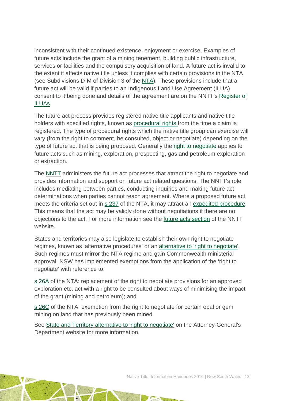inconsistent with their continued existence, enjoyment or exercise. Examples of future acts include the grant of a mining tenement, building public infrastructure, services or facilities and the compulsory acquisition of land. A future act is invalid to the extent it affects native title unless it complies with certain provisions in the NTA (see Subdivisions D-M of Division 3 of the [NTA\)](http://www.austlii.edu.au/au/legis/cth/consol_act/nta1993147/). These provisions include that a future act will be valid if parties to an Indigenous Land Use Agreement (ILUA) consent to it being done and details of the agreement are on the NNTT's [Register of](http://www.nntt.gov.au/searchRegApps/NativeTitleRegisters/Pages/Search-Register-of-Indigenous-Land-Use-Agreements.aspx)  [ILUAs.](http://www.nntt.gov.au/searchRegApps/NativeTitleRegisters/Pages/Search-Register-of-Indigenous-Land-Use-Agreements.aspx)

The future act process provides registered native title applicants and native title holders with specified rights, known as [procedural rights f](http://www.nntt.gov.au/Pages/Glossary.aspx)rom the time a claim is registered. The type of procedural rights which the native title group can exercise will vary (from the right to comment, be consulted, object or negotiate) depending on the type of future act that is being proposed. Generally the [right to negotiate](http://www.nntt.gov.au/Pages/Glossary.aspx) applies to future acts such as mining, exploration, prospecting, gas and petroleum exploration or extraction.

The [NNTT](http://www.nntt.gov.au/Pages/Home-Page.aspx) administers the future act processes that attract the right to negotiate and provides information and support on future act related questions. The NNTT's role includes mediating between parties, conducting inquiries and making future act determinations when parties cannot reach agreement. Where a proposed future act meets the criteria set out in [s 237](http://www.austlii.edu.au/au/legis/cth/consol_act/nta1993147/s237.html) of the NTA, it may attract an [expedited procedure.](http://www.nntt.gov.au/Pages/Glossary.aspx) This means that the act may be validly done without negotiations if there are no objections to the act. For more information see the [future acts section](http://www.nntt.gov.au/futureacts/Pages/default.aspx) of the NNTT website.

States and territories may also legislate to establish their own right to negotiate regimes, known as 'alternative procedures' or an alternative to ['right to negotiate'.](http://www.ag.gov.au/LegalSystem/NativeTitle/Pages/StateAndTerritoryAlternativeToRightToNegotiate.aspx) Such regimes must mirror the NTA regime and gain Commonwealth ministerial approval. NSW has implemented exemptions from the application of the 'right to negotiate' with reference to:

[s 26A](http://www.austlii.edu.au/au/legis/cth/consol_act/nta1993147/s26a.html) of the NTA: replacement of the right to negotiate provisions for an approved exploration etc. act with a right to be consulted about ways of minimising the impact of the grant (mining and petroleum); and

[s 26C](http://www.austlii.edu.au/au/legis/cth/consol_act/nta1993147/s26c.html) of the NTA: exemption from the right to negotiate for certain opal or gem mining on land that has previously been mined.

See [State and Territory alternative](http://www.ag.gov.au/LegalSystem/NativeTitle/Pages/StateAndTerritoryAlternativeToRightToNegotiate.aspx) to 'right to negotiate' on the Attorney-General's Department website for more information.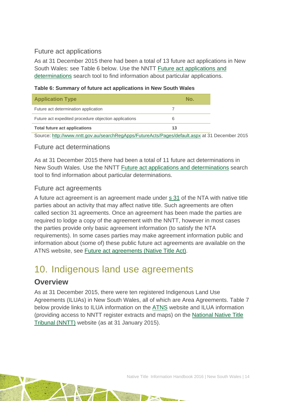### Future act applications

As at 31 December 2015 there had been a total of 13 future act applications in New South Wales: see Table 6 below. Use the NNTT [Future act applications and](http://www.nntt.gov.au/searchRegApps/FutureActs/Pages/default.aspx)  [determinations](http://www.nntt.gov.au/searchRegApps/FutureActs/Pages/default.aspx) search tool to find information about particular applications.

### **Table 6: Summary of future act applications in New South Wales**

| <b>Application Type</b>                                                                                                                 | No. |
|-----------------------------------------------------------------------------------------------------------------------------------------|-----|
| Future act determination application                                                                                                    |     |
| Future act expedited procedure objection applications                                                                                   |     |
| <b>Total future act applications</b>                                                                                                    | 13  |
| $\mathbf{u} = \mathbf{u} + \mathbf{v}$ , $\mathbf{u} = \mathbf{u} + \mathbf{v}$ , $\mathbf{u} = \mathbf{v}$ , $\mathbf{v} = \mathbf{v}$ |     |

#### Source: <http://www.nntt.gov.au/searchRegApps/FutureActs/Pages/default.aspx> at 31 December 2015

### Future act determinations

As at 31 December 2015 there had been a total of 11 future act determinations in New South Wales. Use the NNTT [Future act applications and determinations](http://www.nntt.gov.au/searchRegApps/FutureActs/Pages/default.aspx) search tool to find information about particular determinations.

### Future act agreements

A future act agreement is an agreement made under [s 31](http://www.austlii.edu.au/au/legis/cth/consol_act/nta1993147/s31.html) of the NTA with native title parties about an activity that may affect native title. Such agreements are often called section 31 agreements. Once an agreement has been made the parties are required to lodge a copy of the agreement with the NNTT, however in most cases the parties provide only basic agreement information (to satisfy the NTA requirements). In some cases parties may make agreement information public and information about (some of) these public future act agreements are available on the ATNS website, see [Future act agreements \(Native Title Act\).](http://www.atns.net.au/subcategory.asp?subcategoryID=120)

## <span id="page-14-0"></span>10. Indigenous land use agreements

## **Overview**

As at 31 December 2015, there were ten registered Indigenous Land Use Agreements (ILUAs) in New South Wales, all of which are Area Agreements. Table 7 below provide links to ILUA information on the [ATNS](http://www.atns.net.au/) website and ILUA information (providing access to NNTT register extracts and maps) on the [National Native Title](http://www.nntt.gov.au/)  [Tribunal \(NNTT\)](http://www.nntt.gov.au/) website (as at 31 January 2015).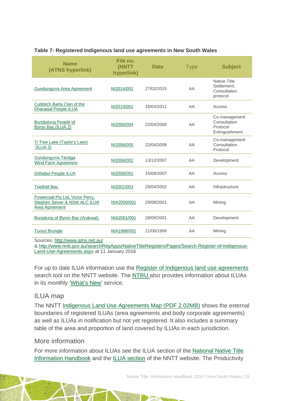#### **Table 7: Registered Indigenous land use agreements in New South Wales**

| <b>Name</b><br>(ATNS hyperlink)                                                     | File no.<br>(NNTT<br>hyperlink) | <b>Date</b> | <b>Type</b> | <b>Subject</b>                                                 |
|-------------------------------------------------------------------------------------|---------------------------------|-------------|-------------|----------------------------------------------------------------|
| Gundungurra Area Agreement                                                          | NI2014/001                      | 27/02/2015  | AA          | <b>Native Title</b><br>Settlement.<br>Consultation<br>protocol |
| Cubbitch Barta Clan of the<br><b>Dharawal People ILUA</b>                           | NI2010/001                      | 16/03/2011  | AA          | Access                                                         |
| Bundjalung People of<br>Byron Bay (ILUA 2)                                          | NI2006/004                      | 22/04/2008  | AA          | Co-management<br>Consultation<br>Protocol<br>Extinguishment    |
| Ti Tree Lake (Taylor's Lake)<br>(ILUA 3)                                            | NI2006/005                      | 22/04/2008  | AA          | Co-management<br>Consultation<br>Protocol                      |
| Gundungurra Taralga<br>Wind Farm Agreement                                          | NI2006/002                      | 13/12/2007  | AA          | Development                                                    |
| <b>Githabul People ILUA</b>                                                         | NI2006/001                      | 15/08/2007  | AA          | Access                                                         |
| <b>Twofold Bay</b>                                                                  | NI2001/003                      | 29/04/2002  | AA          | Infrastructure                                                 |
| Powercoal Pty Ltd, Victor Perry,<br>Stephen Seiver & NSW ALC ILUA<br>Area Agreement | NIA2000/001                     | 29/08/2001  | AA          | Mining                                                         |
| Bunjalung of Byron Bay (Arakwal)                                                    | NIA2001/001                     | 28/08/2001  | AA          | Development                                                    |
| <b>Tumut Brungle</b>                                                                | NIA1998/001                     | 21/06/1999  | AA          | Mining                                                         |

Sources:<http://www.atns.net.au/>

& [http://www.nntt.gov.au/searchRegApps/NativeTitleRegisters/Pages/Search-Register-of-Indigenous-](http://www.nntt.gov.au/searchRegApps/NativeTitleRegisters/Pages/Search-Register-of-Indigenous-Land-Use-Agreements.aspx)[Land-Use-Agreements.aspx](http://www.nntt.gov.au/searchRegApps/NativeTitleRegisters/Pages/Search-Register-of-Indigenous-Land-Use-Agreements.aspx) at 11 January 2016

For up to date ILUA information use the [Register of Indigenous land use agreements](http://www.nntt.gov.au/searchRegApps/NativeTitleRegisters/Pages/Search-Register-of-Indigenous-Land-Use-Agreements.aspx) search tool on the NNTT website. The [NTRU](http://aiatsis.gov.au/research/research-themes/native-title) also provides information about ILUAs in its monthly ['What's New'](http://aiatsis.gov.au/research/research-themes/native-title/publications/whats-new) service.

### ILUA map

The NNTT [Indigenous Land Use Agreements Map \(PDF 2.02MB\)](http://www.nntt.gov.au/Maps/ILUAs_map.pdf) shows the external boundaries of registered ILUAs (area agreements and body corporate agreements) as well as ILUAs in notification but not yet registered. It also includes a summary table of the area and proportion of land covered by ILUAs in each jurisdiction.

### More information

For more information about ILUAs see the ILUA section of the [National Native Title](http://aiatsis.gov.au/publications/products/native-title-information-handbooks)  [Information Handbook](http://aiatsis.gov.au/publications/products/native-title-information-handbooks) and the [ILUA section](http://www.nntt.gov.au/ILUAs/Pages/default.aspx) of the NNTT website. The Productivity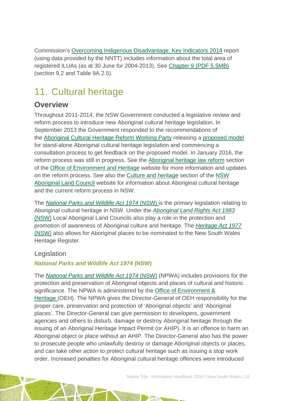Commission's [Overcoming Indigenous Disadvantage: Key Indicators 2014](http://www.pc.gov.au/research/recurring/overcoming-indigenous-disadvantage/key-indicators-2014) report (using data provided by the NNTT) includes information about the total area of registered ILUAs (as at 30 June for 2004-2013). See [Chapter 9 \(PDF](http://www.pc.gov.au/research/recurring/overcoming-indigenous-disadvantage/key-indicators-2014/09-key-indicators-2014-chapter9.pdf) 5.5MB) (section 9.2 and Table 9A.2.5).

# <span id="page-16-0"></span>11. Cultural heritage

## **Overview**

Throughout 2011-2014, the NSW Government conducted a legislative review and reform process to introduce new Aboriginal cultural heritage legislation. In September 2013 the Government responded to the recommendations of the [Aboriginal Cultural Heritage Reform Working Party](http://www.environment.nsw.gov.au/ACHreform/ACHworkingparty.htm) releasing a [proposed model](http://www.environment.nsw.gov.au/achreform/ACHproposedmodel.htm) for stand-alone Aboriginal cultural heritage legislation and commencing a consultation process to get feedback on the proposed model. In January 2016, the reform process was still in progress. See the [Aboriginal heritage law reform](http://www.environment.nsw.gov.au/achreform/index.htm) section of the Office [of Environment and](http://www.environment.nsw.gov.au/index.htm) Heritage website for more information and updates on the reform process. See also the [Culture and heritage](http://www.alc.org.au/culture-and-heritage/more-than-flora--fauna.aspx) section of the [NSW](http://www.alc.org.au/home.aspx)  [Aboriginal Land Council](http://www.alc.org.au/home.aspx) website for information about Aboriginal cultural heritage and the current reform process in NSW.

The *[National Parks and Wildlife Act 1974](http://www.environment.nsw.gov.au/legislation/NationalParksAndWildlifeAct1974.htm)* (NSW) is the primary legislation relating to Aboriginal cultural heritage in NSW. Under the *[Aboriginal Land Rights Act 1983](http://www.austlii.edu.au/au/legis/nsw/consol_act/alra1983201/)* [\(NSW\)](http://www.austlii.edu.au/au/legis/nsw/consol_act/alra1983201/) Local Aboriginal Land Councils also play a role in the protection and promotion of awareness of Aboriginal culture and heritage. The *[Heritage Act 1977](http://www5.austlii.edu.au/au/legis/nsw/consol_act/ha197786/)*  [\(NSW\)](http://www5.austlii.edu.au/au/legis/nsw/consol_act/ha197786/) also allows for Aboriginal places to be nominated to the New South Wales Heritage Register.

### **Legislation**

### *National Parks and Wildlife Act 1974* **(NSW)**

The *[National Parks and Wildlife Act 1974](http://www.environment.nsw.gov.au/legislation/NationalParksAndWildlifeAct1974.htm)* (NSW) (NPWA) includes provisions for the protection and preservation of Aboriginal objects and places of cultural and historic significance. The NPWA is administered by the Office [of Environment &](http://www.environment.nsw.gov.au/index.htm)  [Heritage](http://www.environment.nsw.gov.au/index.htm) (OEH). The NPWA gives the Director-General of OEH responsibility for the proper care, preservation and protection of 'Aboriginal objects' and 'Aboriginal places'. The Director-General can give permission to developers, government agencies and others to disturb, damage or destroy Aboriginal heritage through the issuing of an Aboriginal Heritage Impact Permit (or AHIP). It is an offence to harm an Aboriginal object or place without an AHIP. The Director-General also has the power to prosecute people who unlawfully destroy or damage Aboriginal objects or places, and can take other action to protect cultural heritage such as issuing a stop work order. Increased penalties for Aboriginal cultural heritage offences were introduced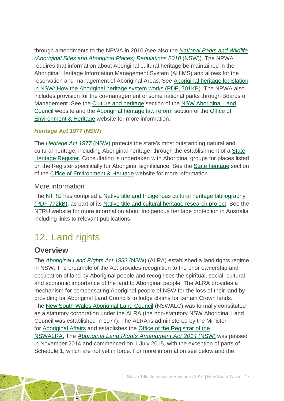through amendments to the NPWA in 2010 (see also the *[National Parks and Wildlife](http://www.legislation.nsw.gov.au/sessionalview/sessional/sr/2010-548.pdf)  [\(Aboriginal Sites and Aboriginal Places\) Regulations 2010](http://www.legislation.nsw.gov.au/sessionalview/sessional/sr/2010-548.pdf)* (NSW)). The NPWA requires that information about Aboriginal cultural heritage be maintained in the Aboriginal Heritage Information Management System (AHIMS) and allows for the reservation and management of Aboriginal Areas. See [Aboriginal heritage legislation](http://www.environment.nsw.gov.au/resources/cultureheritage/20120401system.pdf)  [in NSW: How the Aboriginal heritage system works](http://www.environment.nsw.gov.au/resources/cultureheritage/20120401system.pdf) (PDF, 701KB). The NPWA also includes provision for the co-management of some national parks through Boards of Management. See the [Culture and heritage](http://www.alc.org.au/culture-and-heritage/more-than-flora--fauna.aspx) section of the [NSW Aboriginal Land](http://www.alc.org.au/home.aspx)  [Council](http://www.alc.org.au/home.aspx) website and the [Aboriginal heritage law reform](http://www.environment.nsw.gov.au/achreform/index.htm) section of the [Office](http://www.environment.nsw.gov.au/index.htm) of [Environment & Heritage](http://www.environment.nsw.gov.au/index.htm) website for more information.

### *Heritage Act 1977* **(NSW)**

The *[Heritage Act 1977](http://www.austlii.edu.au/au/legis/nsw/consol_act/ha197786/s170.html)* (NSW) protects the state's most outstanding natural and cultural heritage, including Aboriginal heritage, through the establishment of a [State](http://www.environment.nsw.gov.au/Heritage/listings/stateheritageregister.htm)  [Heritage Register.](http://www.environment.nsw.gov.au/Heritage/listings/stateheritageregister.htm) Consultation is undertaken with Aboriginal groups for places listed on the Register specifically for Aboriginal significance. See the [State heritage](http://www.environment.nsw.gov.au/heritage/) section of the Office [of Environment & Heritage](http://www.environment.nsw.gov.au/index.htm) website for more information.

### More information

The [NTRU](http://aiatsis.gov.au/research/research-themes/native-title) has compiled a [Native title and Indigenous cultural heritage bibliography](http://aiatsis.gov.au/publications/products/native-title-and-indigenous-cultural-heritage-management-bibliography)  [\(PDF 772kB\),](http://aiatsis.gov.au/publications/products/native-title-and-indigenous-cultural-heritage-management-bibliography) as part of its [Native title and cultural heritage research project.](http://aiatsis.gov.au/research-and-guides/native-title-and-cultural-heritage) See the NTRU website for more information about Indigenous heritage protection in Australia including links to relevant publications.

## <span id="page-17-0"></span>12. Land rights

### **Overview**

The *[Aboriginal Land Rights Act 1983](http://www.austlii.edu.au/au/legis/nsw/consol_act/alra1983201/)* (NSW) (ALRA) established a land rights regime in NSW. The preamble of the Act provides recognition to the prior ownership and occupation of land by Aboriginal people and recognises the spiritual, social, cultural and economic importance of the land to Aboriginal people. The ALRA provides a mechanism for compensating Aboriginal people of NSW for the loss of their land by providing for Aboriginal Land Councils to lodge claims for certain Crown lands. The [New South Wales Aboriginal Land Council](http://www.alc.org.au/home.aspx) (NSWALC) was formally constituted as a statutory corporation under the ALRA (the non-statutory NSW Aboriginal Land Council was established in 1977). The ALRA is administered by the Minister for [Aboriginal Affairs](http://www.aboriginalaffairs.nsw.gov.au/) and establishes the [Office of the Registrar of the](http://www.oralra.nsw.gov.au/index.html)  [NSWALRA.](http://www.oralra.nsw.gov.au/index.html) The *[Aboriginal Land Rights Amendment Act 2014](http://www5.austlii.edu.au/au/legis/nsw/num_act/alraa2014n75308.pdf)* (NSW) was passed in November 2014 and commenced on 1 July 2015, with the exception of parts of Schedule 1, which are not yet in force. For more information see below and the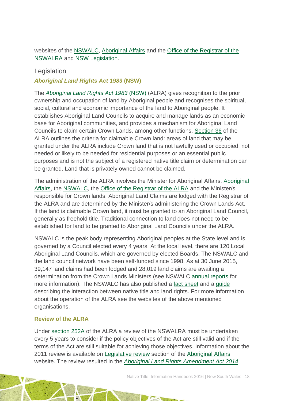### websites of the [NSWALC,](http://www.alc.org.au/home.aspx) [Aboriginal Affairs](http://www.aboriginalaffairs.nsw.gov.au/) and the [Office of the Registrar of the](http://www.oralra.nsw.gov.au/index.html)  [NSWALRA](http://www.oralra.nsw.gov.au/index.html) and [NSW Legislation.](http://www.legislation.nsw.gov.au/maintop/view/inforce/act+75+2014+cd+0+N)

### Legislation

*Aboriginal Land Rights Act 1983* **(NSW)**

The *[Aboriginal Land Rights Act 1983](http://www.austlii.edu.au/au/legis/nsw/consol_act/alra1983201/)* (NSW) (ALRA) gives recognition to the prior ownership and occupation of land by Aboriginal people and recognises the spiritual, social, cultural and economic importance of the land to Aboriginal people. It establishes Aboriginal Land Councils to acquire and manage lands as an economic base for Aboriginal communities, and provides a mechanism for Aboriginal Land Councils to claim certain Crown Lands, among other functions. [Section 36](http://www.austlii.edu.au/au/legis/nsw/consol_act/alra1983201/s36.html) of the ALRA outlines the criteria for claimable Crown land: areas of land that may be granted under the ALRA include Crown land that is not lawfully used or occupied, not needed or likely to be needed for residential purposes or an essential public purposes and is not the subject of a registered native title claim or determination can be granted. Land that is privately owned cannot be claimed.

The administration of the ALRA involves the Minister for Aboriginal Affairs, [Aboriginal](http://www.aboriginalaffairs.nsw.gov.au/)  [Affairs,](http://www.aboriginalaffairs.nsw.gov.au/) the [NSWALC,](http://www.alc.org.au/home.aspx) the [Office of the Registrar of the ALRA](http://www.oralra.nsw.gov.au/index.html) and the Minister/s responsible for Crown lands. Aboriginal Land Claims are lodged with the Registrar of the ALRA and are determined by the Minister/s administering the Crown Lands Act. If the land is claimable Crown land, it must be granted to an Aboriginal Land Council, generally as freehold title. Traditional connection to land does not need to be established for land to be granted to Aboriginal Land Councils under the ALRA.

NSWALC is the peak body representing Aboriginal peoples at the State level and is governed by a Council elected every 4 years. At the local level, there are 120 Local Aboriginal Land Councils, which are governed by elected Boards. The NSWALC and the land council network have been self-funded since 1998. As at 30 June 2015, 39,147 land claims had been lodged and 28,019 land claims are awaiting a determination from the Crown Lands Ministers (see NSWALC [annual reports](http://www.alc.org.au/publications/annual-reports.aspx) for more information). The NSWALC has also published a [fact sheet](http://www.alc.org.au/media/83115/140306%20native%20title%20fact%20sheet%202%20-%20interaction%20between%20native%20title%20and%20land%20rights%20updated.pdf) and a [guide](http://www.alc.org.au/media/90660/land%20rights%20and%20native%20title%20in%20nsw%20-%20a%20comunity%20guide%20final%20web_02.pdf) describing the interaction between native title and land rights. For more information about the operation of the ALRA see the websites of the above mentioned organisations.

### **Review of the ALRA**

Under [section 252A](http://www.austlii.edu.au/au/legis/nsw/consol_act/alra1983201/s252a.html) of the ALRA a review of the NSWALRA must be undertaken every 5 years to consider if the policy objectives of the Act are still valid and if the terms of the Act are still suitable for achieving those objectives. Information about the 2011 review is available on [Legislative review](http://www.aboriginalaffairs.nsw.gov.au/alra/legislative-review/) section of the [Aboriginal Affairs](http://www.aboriginalaffairs.nsw.gov.au/) website. The review resulted in the *[Aboriginal Land Rights Amendment Act 2014](http://www5.austlii.edu.au/au/legis/nsw/consol_act/alraa2014281/)*

Native Title Information Handbook 2016 | New South Wales | 18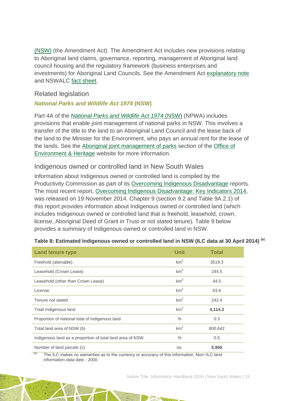[\(NSW\)](http://www5.austlii.edu.au/au/legis/nsw/consol_act/alraa2014281/) (the Amendment Act). The Amendment Act includes new provisions relating to Aboriginal land claims, governance, reporting, management of Aboriginal land council housing and the regulatory framework (business enterprises and investments) for Aboriginal Land Councils. See the Amendment Act [explanatory note](http://www.parliament.nsw.gov.au/prod/parlment/nswbills.nsf/0/b467ff838b214e36ca257d780016d1f5/$FILE/XN%20Aboriginal%20Land%20Rights.pdf) and NSWALC [fact sheet.](http://www.alc.org.au/media/95091/150123%20Aboriginal%20Land%20Rights%20Amendments%20Fact%20Sheet%20final.pdf)

### Related legislation

### *National Parks and Wildlife Act 1974* **(NSW)**

Part 4A of the *[National Parks and Wildlife Act 1974](http://www.environment.nsw.gov.au/legislation/NationalParksAndWildlifeAct1974.htm)* (NSW) (NPWA) includes provisions that enable joint management of national parks in NSW. This involves a transfer of the title to the land to an Aboriginal Land Council and the lease back of the land to the Minister for the Environment, who pays an annual rent for the lease of the lands. See the [Aboriginal joint management of parks](http://www.environment.nsw.gov.au/jointmanagement/index.htm) section of the [Office](http://www.environment.nsw.gov.au/index.htm) of [Environment & Heritage](http://www.environment.nsw.gov.au/index.htm) website for more information.

### Indigenous owned or controlled land in New South Wales

Information about Indigenous owned or controlled land is compiled by the Productivity Commission as part of its [Overcoming Indigenous Disadvantage](http://www.pc.gov.au/research/recurring/overcoming-indigenous-disadvantage) reports. The most recent report, [Overcoming Indigenous Disadvantage: Key Indicators 2014,](http://www.pc.gov.au/research/recurring/overcoming-indigenous-disadvantage/key-indicators-2014) was released on 19 November 2014. Chapter 9 (section 9.2 and Table 9A.2.1) of this report provides information about Indigenous owned or controlled land (which includes Indigenous owned or controlled land that is freehold, leasehold, crown, license, Aboriginal Deed of Grant in Trust or not stated tenure). Table 9 below provides a summary of Indigenous owned or controlled land in NSW.

| <b>Land tenure type</b>                                   | <b>Unit</b>     | <b>Total</b> |
|-----------------------------------------------------------|-----------------|--------------|
| Freehold (alienable)                                      | km <sup>2</sup> | 3519.3       |
| Leasehold (Crown Lease)                                   | km <sup>2</sup> | 244.5        |
| Leasehold (other than Crown Lease)                        | km <sup>2</sup> | 44.5         |
| License                                                   | km <sup>2</sup> | 63.6         |
| Tenure not stated                                         | km <sup>2</sup> | 242.4        |
| Total Indigenous land                                     | km <sup>2</sup> | 4,114.3      |
| Proportion of national total of Indigenous land           | $\%$            | 0.3          |
| Total land area of NSW (b)                                | km <sup>2</sup> | 800,642      |
| Indigenous land as a proportion of total land area of NSW | $\frac{0}{0}$   | 0.5          |
| Number of land parcels (c)                                | no.             | 5,950        |

#### **Table 8: Estimated Indigenous owned or controlled land in NSW (ILC data at 30 April 2014) (a)**

(a) The ILC makes no warranties as to the currency or accuracy of this information. Non−ILC land information data date - 2000.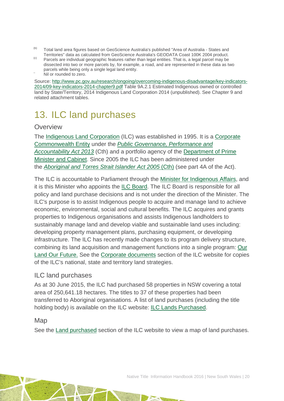- (b) Total land area figures based on GeoScience Australia's published "Area of Australia States and<br>Territories" data as calculated from GeoScience Australia's GEODATA Coast 100K 2004 product.
- <sup>(c)</sup> Parcels are individual geographic features rather than legal entities. That is, a legal parcel may be dissected into two or more parcels by, for example, a road, and are represented in these data as two parcels while being only a single legal land entity.<br>Nil or rounded to zero.
- 

Source: [http://www.pc.gov.au/research/ongoing/overcoming-indigenous-disadvantage/key-indicators-](http://www.pc.gov.au/research/ongoing/overcoming-indigenous-disadvantage/key-indicators-2014/09-key-indicators-2014-chapter9.pdf)[2014/09-key-indicators-2014-chapter9.pdf](http://www.pc.gov.au/research/ongoing/overcoming-indigenous-disadvantage/key-indicators-2014/09-key-indicators-2014-chapter9.pdf) Table 9A.2.1 Estimated Indigenous owned or controlled land by State/Territory, 2014 Indigenous Land Corporation 2014 (unpublished). See Chapter 9 and related attachment tables.

# <span id="page-20-0"></span>13. ILC land purchases

### **Overview**

The [Indigenous Land Corporation](http://www.ilc.gov.au/Home) (ILC) was established in 1995. It is a Corporate [Commonwealth Entity](http://www.finance.gov.au/resource-management/introduction/glossary/#c) under the *[Public Governance, Performance and](http://www.austlii.edu.au/au/legis/cth/consol_act/pgpaaa2013432/)  [Accountability Act 2013](http://www.austlii.edu.au/au/legis/cth/consol_act/pgpaaa2013432/)* (Cth) and a portfolio agency of the [Department of Prime](https://www.dpmc.gov.au/)  [Minister and Cabinet.](https://www.dpmc.gov.au/) Since 2005 the ILC has been administered under the *[Aboriginal and Torres Strait Islander Act 2005](http://www.austlii.edu.au/au/legis/cth/consol_act/aatsia2005359/)* (Cth) (see part 4A of the Act).

The ILC is accountable to Parliament through the [Minister for Indigenous Affairs,](http://minister.indigenous.gov.au/) and it is this Minister who appoints the [ILC Board.](http://www.ilc.gov.au/Home/About-Us/ILC-Board) The ILC Board is responsible for all policy and land purchase decisions and is not under the direction of the Minister. The ILC's purpose is to assist Indigenous people to acquire and manage land to achieve economic, environmental, social and cultural benefits. The ILC acquires and grants properties to Indigenous organisations and assists Indigenous landholders to sustainably manage land and develop viable and sustainable land uses including: developing property management plans, purchasing equipment, or developing infrastructure. The ILC has recently made changes to its program delivery structure, combining its land acquisition and management functions into a single program: [Our](http://www.ilc.gov.au/Home/Our-Land-Program)  [Land Our Future.](http://www.ilc.gov.au/Home/Our-Land-Program) See the [Corporate documents](http://www.ilc.gov.au/Home/Publications/Corporate-Documents) section of the ILC website for copies of the ILC's national, state and territory land strategies.

### ILC land purchases

As at 30 June 2015, the ILC had purchased 58 properties in NSW covering a total area of 250,641.18 hectares. The titles to 37 of these properties had been transferred to Aboriginal organisations. A list of land purchases (including the title holding body) is available on the ILC website: [ILC Lands Purchased.](http://www.ilc.gov.au/Home/Land-Purchased/Land-Purchased-All-States)

### Map

See the [Land purchased](http://www.ilc.gov.au/Home/Land-Purchased) section of the ILC website to view a map of land purchases.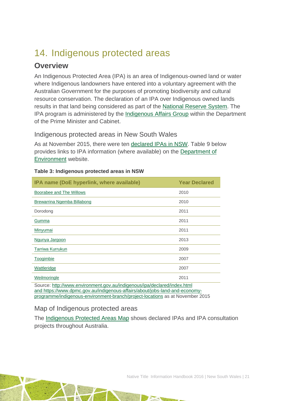# <span id="page-21-0"></span>14. Indigenous protected areas

## **Overview**

An Indigenous Protected Area (IPA) is an area of Indigenous-owned land or water where Indigenous landowners have entered into a voluntary agreement with the Australian Government for the purposes of promoting biodiversity and cultural resource conservation. The declaration of an IPA over Indigenous owned lands results in that land being considered as part of the [National Reserve System.](http://www.environment.gov.au/land/nrs) The IPA program is administered by the [Indigenous Affairs Group](https://www.dpmc.gov.au/indigenous-affairs) within the Department of the Prime Minister and Cabinet.

Indigenous protected areas in New South Wales

As at November 2015, there were ten [declared IPAs in NSW.](http://www.environment.gov.au/indigenous/ipa/declared/nsw.html) Table 9 below provides links to IPA information (where available) on the [Department of](http://www.environment.gov.au/index.html)  [Environment](http://www.environment.gov.au/index.html) website.

| IPA name (DoE hyperlink, where available)                                | <b>Year Declared</b> |  |  |  |
|--------------------------------------------------------------------------|----------------------|--|--|--|
| Boorabee and The Willows                                                 | 2010                 |  |  |  |
| Brewarrina Ngemba Billabong                                              | 2010                 |  |  |  |
| Dorodong                                                                 | 2011                 |  |  |  |
| Gumma                                                                    | 2011                 |  |  |  |
| Minyumai                                                                 | 2011                 |  |  |  |
| Ngunya Jargoon                                                           | 2013                 |  |  |  |
| Tarriwa Kurrukun                                                         | 2009                 |  |  |  |
| Toogimbie                                                                | 2007                 |  |  |  |
| <b>Wattleridge</b>                                                       | 2007                 |  |  |  |
| Weilmoringle                                                             | 2011                 |  |  |  |
| Source: http://www.environment.gov.au/indigenous/ipa/declared/index.html |                      |  |  |  |

#### **Table 3: Indigenous protected areas in NSW**

Source: <http://www.environment.gov.au/indigenous/ipa/declared/index.html> and [https://www.dpmc.gov.au/indigenous-affairs/about/jobs-land-and-economy](https://www.dpmc.gov.au/indigenous-affairs/about/jobs-land-and-economy-programme/indigenous-environment-branch/project-locations)[programme/indigenous-environment-branch/project-locations](https://www.dpmc.gov.au/indigenous-affairs/about/jobs-land-and-economy-programme/indigenous-environment-branch/project-locations) as at November 2015

### Map of Indigenous protected areas

The [Indigenous Protected Areas Map](https://www.dpmc.gov.au/indigenous-affairs/about/jobs-land-and-economy-programme/indigenous-environment-branch/project-locations) shows declared IPAs and IPA consultation projects throughout Australia.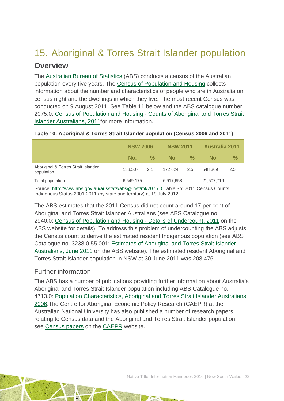# <span id="page-22-0"></span>15. Aboriginal & Torres Strait Islander population

## **Overview**

The [Australian Bureau](http://www.abs.gov.au/) of Statistics (ABS) conducts a census of the Australian population every five years. The [Census of Population and Housing](http://www.abs.gov.au/websitedbs/censushome.nsf/home/what?opendocument&navpos=110) collects information about the number and characteristics of people who are in Australia on census night and the dwellings in which they live. The most recent Census was conducted on 9 August 2011. See Table 11 below and the ABS catalogue number 2075.0: Census of Population and Housing - Counts of Aboriginal and Torres Strait Islander Australians, 2011for more information.

|                                                   | <b>NSW 2006</b> |      | <b>NSW 2011</b> |                    | <b>Australia 2011</b> |               |
|---------------------------------------------------|-----------------|------|-----------------|--------------------|-----------------------|---------------|
|                                                   | No.             | $\%$ | No.             | $\frac{0}{\alpha}$ | No.                   | $\frac{0}{0}$ |
| Aboriginal & Torres Strait Islander<br>population | 138,507         | 2.1  | 172.624         | 2.5                | 548.369               | 2.5           |
| Total population                                  | 6,549,175       |      | 6,917,658       |                    | 21,507,719            |               |

#### **Table 10: Aboriginal & Torres Strait Islander population (Census 2006 and 2011)**

Source:<http://www.abs.gov.au/ausstats/abs@.nsf/mf/2075.0> Table 3b: 2011 Census Counts Indigenous Status 2001-2011 (by state and territory) at 19 July 2012

The ABS estimates that the 2011 Census did not count around 17 per cent of Aboriginal and Torres Strait Islander Australians (see ABS Catalogue no. 2940.0: [Census of Population and Housing -](http://www.abs.gov.au/ausstats/abs@.nsf/%20mf/2940.0) Details of Undercount, 2011 on the ABS website for details). To address this problem of undercounting the ABS adjusts the Census count to derive the estimated resident Indigenous population (see ABS Catalogue no. 3238.0.55.001: [Estimates of Aboriginal and Torres Strait Islander](http://www.abs.gov.au/AUSSTATS/abs@.nsf/Lookup/3238.0.55.001Main+Features1June%202011?OpenDocument)  [Australians, June 2011](http://www.abs.gov.au/AUSSTATS/abs@.nsf/Lookup/3238.0.55.001Main+Features1June%202011?OpenDocument) on the ABS website). The estimated resident Aboriginal and Torres Strait Islander population in NSW at 30 June 2011 was 208,476.

### Further information

The ABS has a number of publications providing further information about Australia's Aboriginal and Torres Strait Islander population including ABS Catalogue no. 4713.0: [Population Characteristics, Aboriginal and Torres Strait Islander Australians,](http://www.abs.gov.au/AUSSTATS/abs@.nsf/Lookup/4713.0Main+Features12006?OpenDocument)  [2006.](http://www.abs.gov.au/AUSSTATS/abs@.nsf/Lookup/4713.0Main+Features12006?OpenDocument)The Centre for Aboriginal Economic Policy Research (CAEPR) at the Australian National University has also published a number of research papers relating to Census data and the Aboriginal and Torres Strait Islander population, see [Census papers](http://caepr.anu.edu.au/publications/censuspapers.php) on the [CAEPR](http://caepr.anu.edu.au/) website.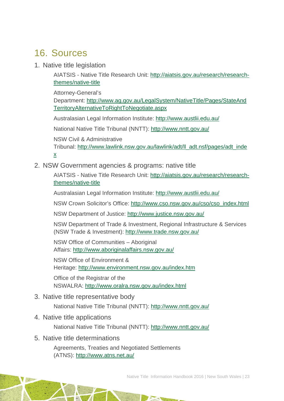## <span id="page-23-0"></span>16. Sources

1. Native title legislation

AIATSIS - Native Title Research Unit: [http://aiatsis.gov.au/research/research](http://aiatsis.gov.au/research/research-themes/native-title)[themes/native-title](http://aiatsis.gov.au/research/research-themes/native-title)

Attorney-General's

Department: [http://www.ag.gov.au/LegalSystem/NativeTitle/Pages/StateAnd](http://www.ag.gov.au/LegalSystem/NativeTitle/Pages/StateAndTerritoryAlternativeToRightToNegotiate.aspx) [TerritoryAlternativeToRightToNegotiate.aspx](http://www.ag.gov.au/LegalSystem/NativeTitle/Pages/StateAndTerritoryAlternativeToRightToNegotiate.aspx)

Australasian Legal Information Institute:<http://www.austlii.edu.au/>

National Native Title Tribunal (NNTT):<http://www.nntt.gov.au/>

NSW Civil & Administrative

Tribunal: [http://www.lawlink.nsw.gov.au/lawlink/adt/ll\\_adt.nsf/pages/adt\\_inde](http://www.lawlink.nsw.gov.au/lawlink/adt/ll_adt.nsf/pages/adt_index) [x](http://www.lawlink.nsw.gov.au/lawlink/adt/ll_adt.nsf/pages/adt_index)

2. NSW Government agencies & programs: native title

AIATSIS - Native Title Research Unit: [http://aiatsis.gov.au/research/research](http://aiatsis.gov.au/research/research-themes/native-title)[themes/native-title](http://aiatsis.gov.au/research/research-themes/native-title)

Australasian Legal Information Institute:<http://www.austlii.edu.au/>

NSW Crown Solicitor's Office: [http://www.cso.nsw.gov.au/cso/cso\\_index.html](http://www.cso.nsw.gov.au/cso/cso_index.html)

NSW Department of Justice:<http://www.justice.nsw.gov.au/>

NSW Department of Trade & Investment, Regional Infrastructure & Services (NSW Trade & Investment):<http://www.trade.nsw.gov.au/>

NSW Office of Communities – Aboriginal Affairs:<http://www.aboriginalaffairs.nsw.gov.au/>

NSW Office of Environment & Heritage:<http://www.environment.nsw.gov.au/index.htm>

Office of the Registrar of the NSWALRA:<http://www.oralra.nsw.gov.au/index.html>

3. Native title representative body

National Native Title Tribunal (NNTT):<http://www.nntt.gov.au/>

4. Native title applications

National Native Title Tribunal (NNTT):<http://www.nntt.gov.au/>

5. Native title determinations

Agreements, Treaties and Negotiated Settlements (ATNS):<http://www.atns.net.au/>

Native Title Information Handbook 2016 | New South Wales | 23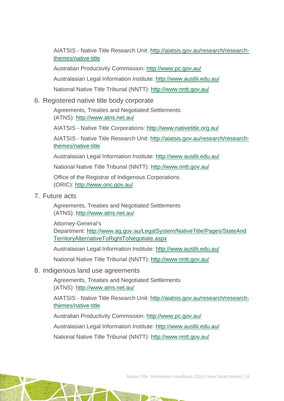AIATSIS - Native Title Research Unit: [http://aiatsis.gov.au/research/research](http://aiatsis.gov.au/research/research-themes/native-title)[themes/native-title](http://aiatsis.gov.au/research/research-themes/native-title)

Australian Productivity Commission:<http://www.pc.gov.au/>

Australasian Legal Information Institute:<http://www.austlii.edu.au/>

National Native Title Tribunal (NNTT):<http://www.nntt.gov.au/>

### 6. Registered native title body corporate

Agreements, Treaties and Negotiated Settlements (ATNS):<http://www.atns.net.au/>

AIATSIS - Native Title Corporations:<http://www.nativetitle.org.au/>

AIATSIS - Native Title Research Unit: [http://aiatsis.gov.au/research/research](http://aiatsis.gov.au/research/research-themes/native-title)[themes/native-title](http://aiatsis.gov.au/research/research-themes/native-title)

Australasian Legal Information Institute:<http://www.austlii.edu.au/>

National Native Title Tribunal (NNTT):<http://www.nntt.gov.au/>

Office of the Registrar of Indigenous Corporations (ORIC):<http://www.oric.gov.au/>

### 7. Future acts

Agreements, Treaties and Negotiated Settlements (ATNS):<http://www.atns.net.au/>

Attorney-General's

Department: [http://www.ag.gov.au/LegalSystem/NativeTitle/Pages/StateAnd](http://www.ag.gov.au/LegalSystem/NativeTitle/Pages/StateAndTerritoryAlternativeToRightToNegotiate.aspx) [TerritoryAlternativeToRightToNegotiate.aspx](http://www.ag.gov.au/LegalSystem/NativeTitle/Pages/StateAndTerritoryAlternativeToRightToNegotiate.aspx)

Australasian Legal Information Institute:<http://www.austlii.edu.au/>

National Native Title Tribunal (NNTT):<http://www.nntt.gov.au/>

### 8. Indigenous land use agreements

Agreements, Treaties and Negotiated Settlements (ATNS):<http://www.atns.net.au/>

AIATSIS - Native Title Research Unit: [http://aiatsis.gov.au/research/research](http://aiatsis.gov.au/research/research-themes/native-title)[themes/native-title](http://aiatsis.gov.au/research/research-themes/native-title)

Australian Productivity Commission:<http://www.pc.gov.au/>

Australasian Legal Information Institute:<http://www.austlii.edu.au/>

National Native Title Tribunal (NNTT):<http://www.nntt.gov.au/>